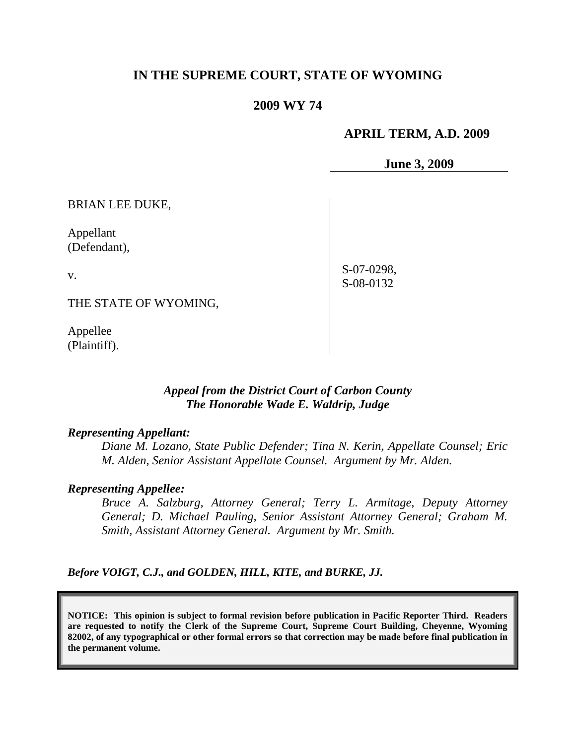## **IN THE SUPREME COURT, STATE OF WYOMING**

#### **2009 WY 74**

#### **APRIL TERM, A.D. 2009**

**June 3, 2009**

BRIAN LEE DUKE,

Appellant (Defendant),

v.

S-07-0298, S-08-0132

THE STATE OF WYOMING,

Appellee (Plaintiff).

### *Appeal from the District Court of Carbon County The Honorable Wade E. Waldrip, Judge*

#### *Representing Appellant:*

*Diane M. Lozano, State Public Defender; Tina N. Kerin, Appellate Counsel; Eric M. Alden, Senior Assistant Appellate Counsel. Argument by Mr. Alden.*

#### *Representing Appellee:*

*Bruce A. Salzburg, Attorney General; Terry L. Armitage, Deputy Attorney General; D. Michael Pauling, Senior Assistant Attorney General; Graham M. Smith, Assistant Attorney General. Argument by Mr. Smith.*

*Before VOIGT, C.J., and GOLDEN, HILL, KITE, and BURKE, JJ.*

**NOTICE: This opinion is subject to formal revision before publication in Pacific Reporter Third. Readers are requested to notify the Clerk of the Supreme Court, Supreme Court Building, Cheyenne, Wyoming 82002, of any typographical or other formal errors so that correction may be made before final publication in the permanent volume.**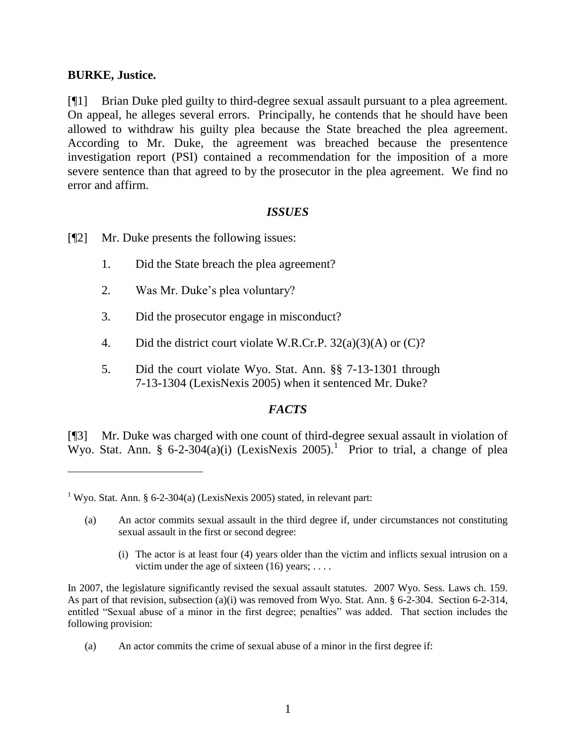#### **BURKE, Justice.**

 $\overline{a}$ 

[¶1] Brian Duke pled guilty to third-degree sexual assault pursuant to a plea agreement. On appeal, he alleges several errors. Principally, he contends that he should have been allowed to withdraw his guilty plea because the State breached the plea agreement. According to Mr. Duke, the agreement was breached because the presentence investigation report (PSI) contained a recommendation for the imposition of a more severe sentence than that agreed to by the prosecutor in the plea agreement. We find no error and affirm.

### *ISSUES*

- [¶2] Mr. Duke presents the following issues:
	- 1. Did the State breach the plea agreement?
	- 2. Was Mr. Duke"s plea voluntary?
	- 3. Did the prosecutor engage in misconduct?
	- 4. Did the district court violate W.R.Cr.P. 32(a)(3)(A) or (C)?
	- 5. Did the court violate Wyo. Stat. Ann. §§ 7-13-1301 through 7-13-1304 (LexisNexis 2005) when it sentenced Mr. Duke?

## *FACTS*

[¶3] Mr. Duke was charged with one count of third-degree sexual assault in violation of Wyo. Stat. Ann. § 6-2-304(a)(i) (LexisNexis 2005).<sup>1</sup> Prior to trial, a change of plea

- (a) An actor commits sexual assault in the third degree if, under circumstances not constituting sexual assault in the first or second degree:
	- (i) The actor is at least four (4) years older than the victim and inflicts sexual intrusion on a victim under the age of sixteen  $(16)$  years; ...

In 2007, the legislature significantly revised the sexual assault statutes. 2007 Wyo. Sess. Laws ch. 159. As part of that revision, subsection (a)(i) was removed from Wyo. Stat. Ann. § 6-2-304. Section 6-2-314, entitled "Sexual abuse of a minor in the first degree; penalties" was added. That section includes the following provision:

(a) An actor commits the crime of sexual abuse of a minor in the first degree if:

<sup>&</sup>lt;sup>1</sup> Wyo. Stat. Ann. § 6-2-304(a) (LexisNexis 2005) stated, in relevant part: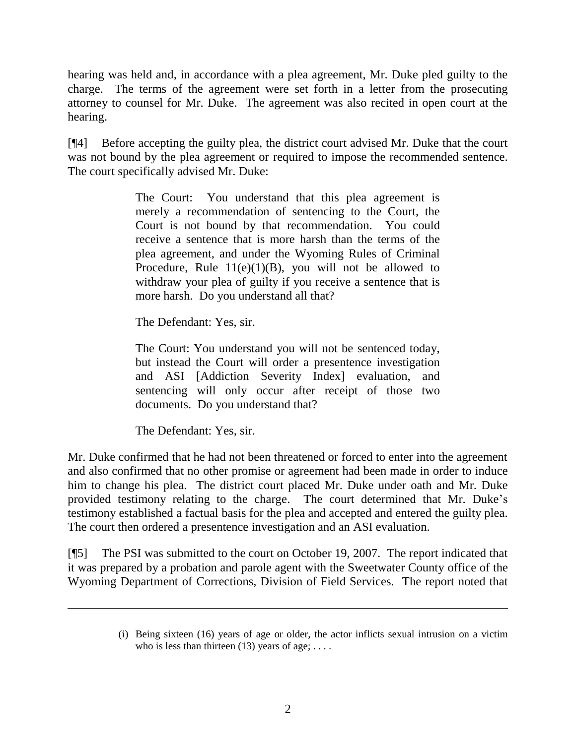hearing was held and, in accordance with a plea agreement, Mr. Duke pled guilty to the charge. The terms of the agreement were set forth in a letter from the prosecuting attorney to counsel for Mr. Duke. The agreement was also recited in open court at the hearing.

[¶4] Before accepting the guilty plea, the district court advised Mr. Duke that the court was not bound by the plea agreement or required to impose the recommended sentence. The court specifically advised Mr. Duke:

> The Court: You understand that this plea agreement is merely a recommendation of sentencing to the Court, the Court is not bound by that recommendation. You could receive a sentence that is more harsh than the terms of the plea agreement, and under the Wyoming Rules of Criminal Procedure, Rule  $11(e)(1)(B)$ , you will not be allowed to withdraw your plea of guilty if you receive a sentence that is more harsh. Do you understand all that?

The Defendant: Yes, sir.

The Court: You understand you will not be sentenced today, but instead the Court will order a presentence investigation and ASI [Addiction Severity Index] evaluation, and sentencing will only occur after receipt of those two documents. Do you understand that?

The Defendant: Yes, sir.

Mr. Duke confirmed that he had not been threatened or forced to enter into the agreement and also confirmed that no other promise or agreement had been made in order to induce him to change his plea. The district court placed Mr. Duke under oath and Mr. Duke provided testimony relating to the charge. The court determined that Mr. Duke"s testimony established a factual basis for the plea and accepted and entered the guilty plea. The court then ordered a presentence investigation and an ASI evaluation.

[¶5] The PSI was submitted to the court on October 19, 2007. The report indicated that it was prepared by a probation and parole agent with the Sweetwater County office of the Wyoming Department of Corrections, Division of Field Services. The report noted that

<sup>(</sup>i) Being sixteen (16) years of age or older, the actor inflicts sexual intrusion on a victim who is less than thirteen (13) years of age;  $\dots$ .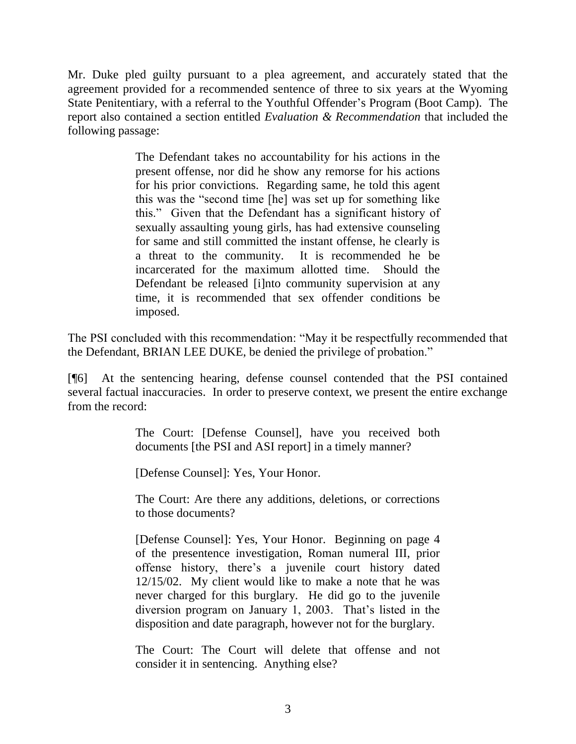Mr. Duke pled guilty pursuant to a plea agreement, and accurately stated that the agreement provided for a recommended sentence of three to six years at the Wyoming State Penitentiary, with a referral to the Youthful Offender"s Program (Boot Camp). The report also contained a section entitled *Evaluation & Recommendation* that included the following passage:

> The Defendant takes no accountability for his actions in the present offense, nor did he show any remorse for his actions for his prior convictions. Regarding same, he told this agent this was the "second time [he] was set up for something like this." Given that the Defendant has a significant history of sexually assaulting young girls, has had extensive counseling for same and still committed the instant offense, he clearly is a threat to the community. It is recommended he be incarcerated for the maximum allotted time. Should the Defendant be released [i]nto community supervision at any time, it is recommended that sex offender conditions be imposed.

The PSI concluded with this recommendation: "May it be respectfully recommended that the Defendant, BRIAN LEE DUKE, be denied the privilege of probation."

[¶6] At the sentencing hearing, defense counsel contended that the PSI contained several factual inaccuracies. In order to preserve context, we present the entire exchange from the record:

> The Court: [Defense Counsel], have you received both documents [the PSI and ASI report] in a timely manner?

[Defense Counsel]: Yes, Your Honor.

The Court: Are there any additions, deletions, or corrections to those documents?

[Defense Counsel]: Yes, Your Honor. Beginning on page 4 of the presentence investigation, Roman numeral III, prior offense history, there"s a juvenile court history dated 12/15/02. My client would like to make a note that he was never charged for this burglary. He did go to the juvenile diversion program on January 1, 2003. That's listed in the disposition and date paragraph, however not for the burglary.

The Court: The Court will delete that offense and not consider it in sentencing. Anything else?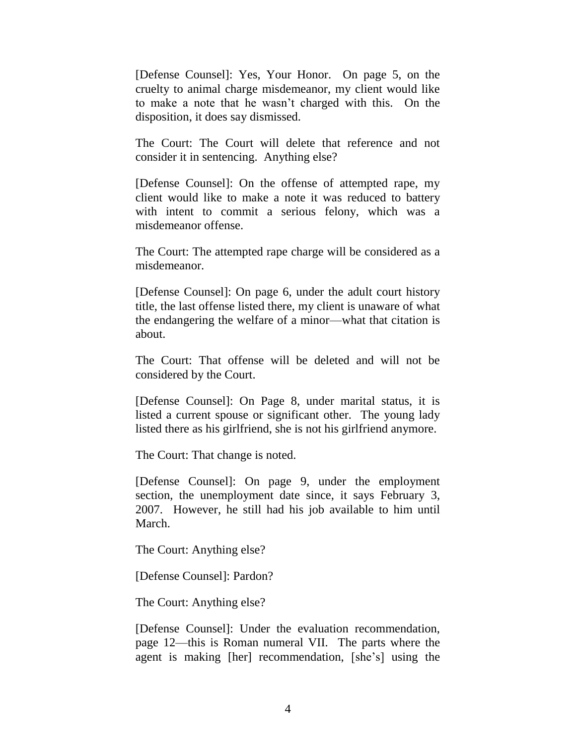[Defense Counsel]: Yes, Your Honor. On page 5, on the cruelty to animal charge misdemeanor, my client would like to make a note that he wasn"t charged with this. On the disposition, it does say dismissed.

The Court: The Court will delete that reference and not consider it in sentencing. Anything else?

[Defense Counsel]: On the offense of attempted rape, my client would like to make a note it was reduced to battery with intent to commit a serious felony, which was a misdemeanor offense.

The Court: The attempted rape charge will be considered as a misdemeanor.

[Defense Counsel]: On page 6, under the adult court history title, the last offense listed there, my client is unaware of what the endangering the welfare of a minor—what that citation is about.

The Court: That offense will be deleted and will not be considered by the Court.

[Defense Counsel]: On Page 8, under marital status, it is listed a current spouse or significant other. The young lady listed there as his girlfriend, she is not his girlfriend anymore.

The Court: That change is noted.

[Defense Counsel]: On page 9, under the employment section, the unemployment date since, it says February 3, 2007. However, he still had his job available to him until March.

The Court: Anything else?

[Defense Counsel]: Pardon?

The Court: Anything else?

[Defense Counsel]: Under the evaluation recommendation, page 12—this is Roman numeral VII. The parts where the agent is making [her] recommendation, [she"s] using the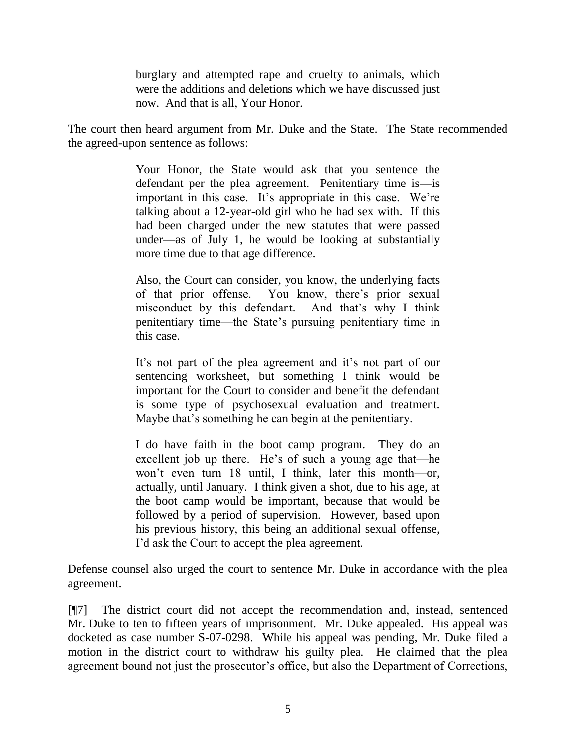burglary and attempted rape and cruelty to animals, which were the additions and deletions which we have discussed just now. And that is all, Your Honor.

The court then heard argument from Mr. Duke and the State. The State recommended the agreed-upon sentence as follows:

> Your Honor, the State would ask that you sentence the defendant per the plea agreement. Penitentiary time is—is important in this case. It's appropriate in this case. We're talking about a 12-year-old girl who he had sex with. If this had been charged under the new statutes that were passed under—as of July 1, he would be looking at substantially more time due to that age difference.

> Also, the Court can consider, you know, the underlying facts of that prior offense. You know, there"s prior sexual misconduct by this defendant. And that's why I think penitentiary time—the State"s pursuing penitentiary time in this case.

> It's not part of the plea agreement and it's not part of our sentencing worksheet, but something I think would be important for the Court to consider and benefit the defendant is some type of psychosexual evaluation and treatment. Maybe that's something he can begin at the penitentiary.

> I do have faith in the boot camp program. They do an excellent job up there. He's of such a young age that—he won"t even turn 18 until, I think, later this month—or, actually, until January. I think given a shot, due to his age, at the boot camp would be important, because that would be followed by a period of supervision. However, based upon his previous history, this being an additional sexual offense, I"d ask the Court to accept the plea agreement.

Defense counsel also urged the court to sentence Mr. Duke in accordance with the plea agreement.

[¶7] The district court did not accept the recommendation and, instead, sentenced Mr. Duke to ten to fifteen years of imprisonment. Mr. Duke appealed. His appeal was docketed as case number S-07-0298. While his appeal was pending, Mr. Duke filed a motion in the district court to withdraw his guilty plea. He claimed that the plea agreement bound not just the prosecutor's office, but also the Department of Corrections,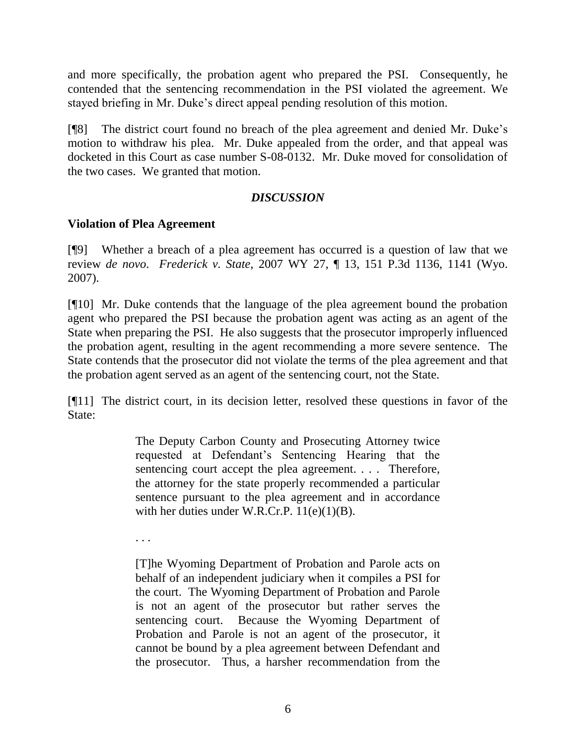and more specifically, the probation agent who prepared the PSI. Consequently, he contended that the sentencing recommendation in the PSI violated the agreement. We stayed briefing in Mr. Duke"s direct appeal pending resolution of this motion.

[¶8] The district court found no breach of the plea agreement and denied Mr. Duke"s motion to withdraw his plea. Mr. Duke appealed from the order, and that appeal was docketed in this Court as case number S-08-0132. Mr. Duke moved for consolidation of the two cases. We granted that motion.

## *DISCUSSION*

## **Violation of Plea Agreement**

[¶9] Whether a breach of a plea agreement has occurred is a question of law that we review *de novo*. *Frederick v. State*, 2007 WY 27, ¶ 13, 151 P.3d 1136, 1141 (Wyo. 2007).

[¶10] Mr. Duke contends that the language of the plea agreement bound the probation agent who prepared the PSI because the probation agent was acting as an agent of the State when preparing the PSI. He also suggests that the prosecutor improperly influenced the probation agent, resulting in the agent recommending a more severe sentence. The State contends that the prosecutor did not violate the terms of the plea agreement and that the probation agent served as an agent of the sentencing court, not the State.

[¶11] The district court, in its decision letter, resolved these questions in favor of the State:

> The Deputy Carbon County and Prosecuting Attorney twice requested at Defendant"s Sentencing Hearing that the sentencing court accept the plea agreement. . . . Therefore, the attorney for the state properly recommended a particular sentence pursuant to the plea agreement and in accordance with her duties under W.R.Cr.P. 11(e)(1)(B).

. . .

[T]he Wyoming Department of Probation and Parole acts on behalf of an independent judiciary when it compiles a PSI for the court. The Wyoming Department of Probation and Parole is not an agent of the prosecutor but rather serves the sentencing court. Because the Wyoming Department of Probation and Parole is not an agent of the prosecutor, it cannot be bound by a plea agreement between Defendant and the prosecutor. Thus, a harsher recommendation from the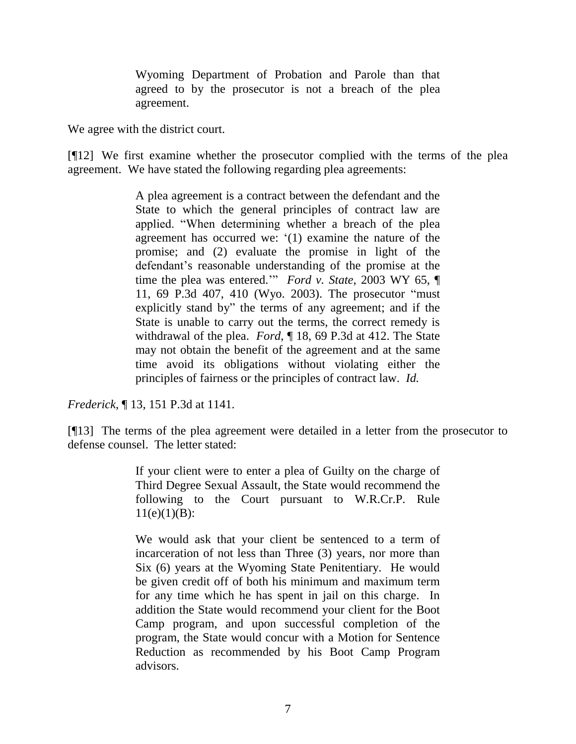Wyoming Department of Probation and Parole than that agreed to by the prosecutor is not a breach of the plea agreement.

We agree with the district court.

[¶12] We first examine whether the prosecutor complied with the terms of the plea agreement. We have stated the following regarding plea agreements:

> A plea agreement is a contract between the defendant and the State to which the general principles of contract law are applied. "When determining whether a breach of the plea agreement has occurred we: "(1) examine the nature of the promise; and (2) evaluate the promise in light of the defendant's reasonable understanding of the promise at the time the plea was entered."" *Ford v. State*, 2003 WY 65, ¶ 11, 69 P.3d 407, 410 (Wyo. 2003). The prosecutor "must explicitly stand by" the terms of any agreement; and if the State is unable to carry out the terms, the correct remedy is withdrawal of the plea. *Ford*, ¶ 18, 69 P.3d at 412. The State may not obtain the benefit of the agreement and at the same time avoid its obligations without violating either the principles of fairness or the principles of contract law. *Id.*

*Frederick*, ¶ 13, 151 P.3d at 1141.

[¶13] The terms of the plea agreement were detailed in a letter from the prosecutor to defense counsel. The letter stated:

> If your client were to enter a plea of Guilty on the charge of Third Degree Sexual Assault, the State would recommend the following to the Court pursuant to W.R.Cr.P. Rule  $11(e)(1)(B)$ :

> We would ask that your client be sentenced to a term of incarceration of not less than Three (3) years, nor more than Six (6) years at the Wyoming State Penitentiary. He would be given credit off of both his minimum and maximum term for any time which he has spent in jail on this charge. In addition the State would recommend your client for the Boot Camp program, and upon successful completion of the program, the State would concur with a Motion for Sentence Reduction as recommended by his Boot Camp Program advisors.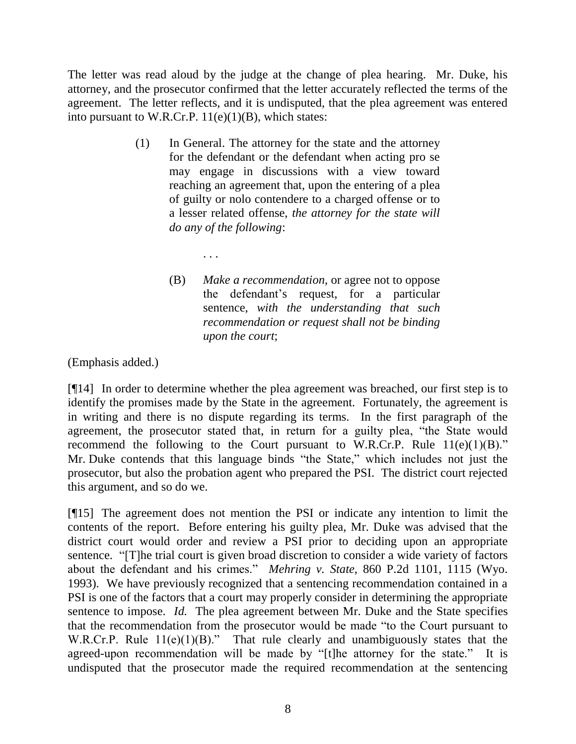The letter was read aloud by the judge at the change of plea hearing. Mr. Duke, his attorney, and the prosecutor confirmed that the letter accurately reflected the terms of the agreement. The letter reflects, and it is undisputed, that the plea agreement was entered into pursuant to W.R.Cr.P.  $11(e)(1)(B)$ , which states:

- (1) In General. The attorney for the state and the attorney for the defendant or the defendant when acting pro se may engage in discussions with a view toward reaching an agreement that, upon the entering of a plea of guilty or nolo contendere to a charged offense or to a lesser related offense, *the attorney for the state will do any of the following*:
	- . . .
	- (B) *Make a recommendation*, or agree not to oppose the defendant"s request, for a particular sentence, *with the understanding that such recommendation or request shall not be binding upon the court*;

(Emphasis added.)

[¶14] In order to determine whether the plea agreement was breached, our first step is to identify the promises made by the State in the agreement. Fortunately, the agreement is in writing and there is no dispute regarding its terms. In the first paragraph of the agreement, the prosecutor stated that, in return for a guilty plea, "the State would recommend the following to the Court pursuant to W.R.Cr.P. Rule  $11(e)(1)(B)$ ." Mr. Duke contends that this language binds "the State," which includes not just the prosecutor, but also the probation agent who prepared the PSI. The district court rejected this argument, and so do we.

[¶15] The agreement does not mention the PSI or indicate any intention to limit the contents of the report. Before entering his guilty plea, Mr. Duke was advised that the district court would order and review a PSI prior to deciding upon an appropriate sentence. "[T]he trial court is given broad discretion to consider a wide variety of factors about the defendant and his crimes." *Mehring v. State*, 860 P.2d 1101, 1115 (Wyo. 1993). We have previously recognized that a sentencing recommendation contained in a PSI is one of the factors that a court may properly consider in determining the appropriate sentence to impose. *Id.* The plea agreement between Mr. Duke and the State specifies that the recommendation from the prosecutor would be made "to the Court pursuant to W.R.Cr.P. Rule  $11(e)(1)(B)$ ." That rule clearly and unambiguously states that the agreed-upon recommendation will be made by "[t]he attorney for the state." It is undisputed that the prosecutor made the required recommendation at the sentencing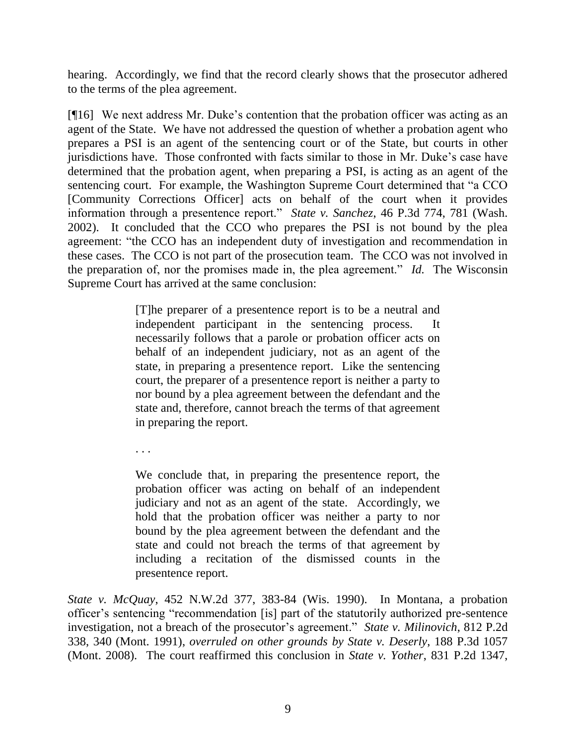hearing. Accordingly, we find that the record clearly shows that the prosecutor adhered to the terms of the plea agreement.

[¶16] We next address Mr. Duke"s contention that the probation officer was acting as an agent of the State. We have not addressed the question of whether a probation agent who prepares a PSI is an agent of the sentencing court or of the State, but courts in other jurisdictions have. Those confronted with facts similar to those in Mr. Duke"s case have determined that the probation agent, when preparing a PSI, is acting as an agent of the sentencing court. For example, the Washington Supreme Court determined that "a CCO [Community Corrections Officer] acts on behalf of the court when it provides information through a presentence report." *State v. Sanchez*, 46 P.3d 774, 781 (Wash. 2002). It concluded that the CCO who prepares the PSI is not bound by the plea agreement: "the CCO has an independent duty of investigation and recommendation in these cases. The CCO is not part of the prosecution team. The CCO was not involved in the preparation of, nor the promises made in, the plea agreement." *Id.* The Wisconsin Supreme Court has arrived at the same conclusion:

> [T]he preparer of a presentence report is to be a neutral and independent participant in the sentencing process. It necessarily follows that a parole or probation officer acts on behalf of an independent judiciary, not as an agent of the state, in preparing a presentence report. Like the sentencing court, the preparer of a presentence report is neither a party to nor bound by a plea agreement between the defendant and the state and, therefore, cannot breach the terms of that agreement in preparing the report.

. . .

We conclude that, in preparing the presentence report, the probation officer was acting on behalf of an independent judiciary and not as an agent of the state. Accordingly, we hold that the probation officer was neither a party to nor bound by the plea agreement between the defendant and the state and could not breach the terms of that agreement by including a recitation of the dismissed counts in the presentence report.

*State v. McQuay*, 452 N.W.2d 377, 383-84 (Wis. 1990). In Montana, a probation officer"s sentencing "recommendation [is] part of the statutorily authorized pre-sentence investigation, not a breach of the prosecutor's agreement." *State v. Milinovich*, 812 P.2d 338, 340 (Mont. 1991), *overruled on other grounds by State v. Deserly*, 188 P.3d 1057 (Mont. 2008). The court reaffirmed this conclusion in *State v. Yother*, 831 P.2d 1347,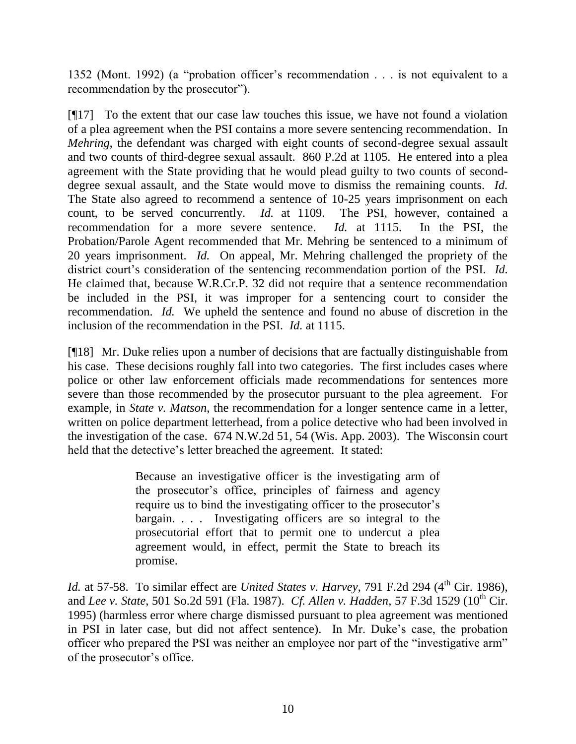1352 (Mont. 1992) (a "probation officer"s recommendation . . . is not equivalent to a recommendation by the prosecutor").

[¶17] To the extent that our case law touches this issue, we have not found a violation of a plea agreement when the PSI contains a more severe sentencing recommendation. In *Mehring*, the defendant was charged with eight counts of second-degree sexual assault and two counts of third-degree sexual assault. 860 P.2d at 1105. He entered into a plea agreement with the State providing that he would plead guilty to two counts of seconddegree sexual assault, and the State would move to dismiss the remaining counts. *Id.* The State also agreed to recommend a sentence of 10-25 years imprisonment on each count, to be served concurrently. *Id.* at 1109. The PSI, however, contained a recommendation for a more severe sentence. *Id.* at 1115. In the PSI, the Probation/Parole Agent recommended that Mr. Mehring be sentenced to a minimum of 20 years imprisonment. *Id.* On appeal, Mr. Mehring challenged the propriety of the district court's consideration of the sentencing recommendation portion of the PSI. *Id.* He claimed that, because W.R.Cr.P. 32 did not require that a sentence recommendation be included in the PSI, it was improper for a sentencing court to consider the recommendation. *Id.* We upheld the sentence and found no abuse of discretion in the inclusion of the recommendation in the PSI. *Id.* at 1115.

[¶18] Mr. Duke relies upon a number of decisions that are factually distinguishable from his case. These decisions roughly fall into two categories. The first includes cases where police or other law enforcement officials made recommendations for sentences more severe than those recommended by the prosecutor pursuant to the plea agreement. For example, in *State v. Matson*, the recommendation for a longer sentence came in a letter, written on police department letterhead, from a police detective who had been involved in the investigation of the case. 674 N.W.2d 51, 54 (Wis. App. 2003). The Wisconsin court held that the detective's letter breached the agreement. It stated:

> Because an investigative officer is the investigating arm of the prosecutor"s office, principles of fairness and agency require us to bind the investigating officer to the prosecutor's bargain. . . . Investigating officers are so integral to the prosecutorial effort that to permit one to undercut a plea agreement would, in effect, permit the State to breach its promise.

*Id.* at 57-58. To similar effect are *United States v. Harvey*, 791 F.2d 294 (4<sup>th</sup> Cir. 1986), and *Lee v. State*, 501 So.2d 591 (Fla. 1987). *Cf. Allen v. Hadden*, 57 F.3d 1529 (10<sup>th</sup> Cir. 1995) (harmless error where charge dismissed pursuant to plea agreement was mentioned in PSI in later case, but did not affect sentence). In Mr. Duke"s case, the probation officer who prepared the PSI was neither an employee nor part of the "investigative arm" of the prosecutor"s office.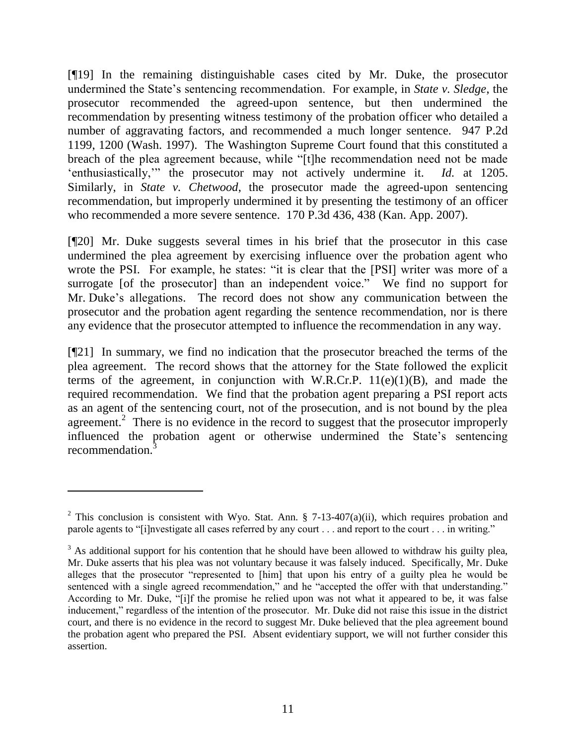[¶19] In the remaining distinguishable cases cited by Mr. Duke, the prosecutor undermined the State"s sentencing recommendation. For example, in *State v. Sledge*, the prosecutor recommended the agreed-upon sentence, but then undermined the recommendation by presenting witness testimony of the probation officer who detailed a number of aggravating factors, and recommended a much longer sentence. 947 P.2d 1199, 1200 (Wash. 1997). The Washington Supreme Court found that this constituted a breach of the plea agreement because, while "[t]he recommendation need not be made "enthusiastically,"" the prosecutor may not actively undermine it. *Id.* at 1205. Similarly, in *State v. Chetwood*, the prosecutor made the agreed-upon sentencing recommendation, but improperly undermined it by presenting the testimony of an officer who recommended a more severe sentence. 170 P.3d 436, 438 (Kan. App. 2007).

[¶20] Mr. Duke suggests several times in his brief that the prosecutor in this case undermined the plea agreement by exercising influence over the probation agent who wrote the PSI. For example, he states: "it is clear that the [PSI] writer was more of a surrogate [of the prosecutor] than an independent voice." We find no support for Mr. Duke"s allegations. The record does not show any communication between the prosecutor and the probation agent regarding the sentence recommendation, nor is there any evidence that the prosecutor attempted to influence the recommendation in any way.

[¶21] In summary, we find no indication that the prosecutor breached the terms of the plea agreement. The record shows that the attorney for the State followed the explicit terms of the agreement, in conjunction with W.R.Cr.P.  $11(e)(1)(B)$ , and made the required recommendation. We find that the probation agent preparing a PSI report acts as an agent of the sentencing court, not of the prosecution, and is not bound by the plea agreement.<sup>2</sup> There is no evidence in the record to suggest that the prosecutor improperly influenced the probation agent or otherwise undermined the State"s sentencing recommendation.<sup>3</sup>

 $\overline{a}$ 

<sup>&</sup>lt;sup>2</sup> This conclusion is consistent with Wyo. Stat. Ann. § 7-13-407(a)(ii), which requires probation and parole agents to "[i]nvestigate all cases referred by any court . . . and report to the court . . . in writing."

<sup>&</sup>lt;sup>3</sup> As additional support for his contention that he should have been allowed to withdraw his guilty plea, Mr. Duke asserts that his plea was not voluntary because it was falsely induced. Specifically, Mr. Duke alleges that the prosecutor "represented to [him] that upon his entry of a guilty plea he would be sentenced with a single agreed recommendation," and he "accepted the offer with that understanding." According to Mr. Duke, "[i]f the promise he relied upon was not what it appeared to be, it was false inducement," regardless of the intention of the prosecutor. Mr. Duke did not raise this issue in the district court, and there is no evidence in the record to suggest Mr. Duke believed that the plea agreement bound the probation agent who prepared the PSI. Absent evidentiary support, we will not further consider this assertion.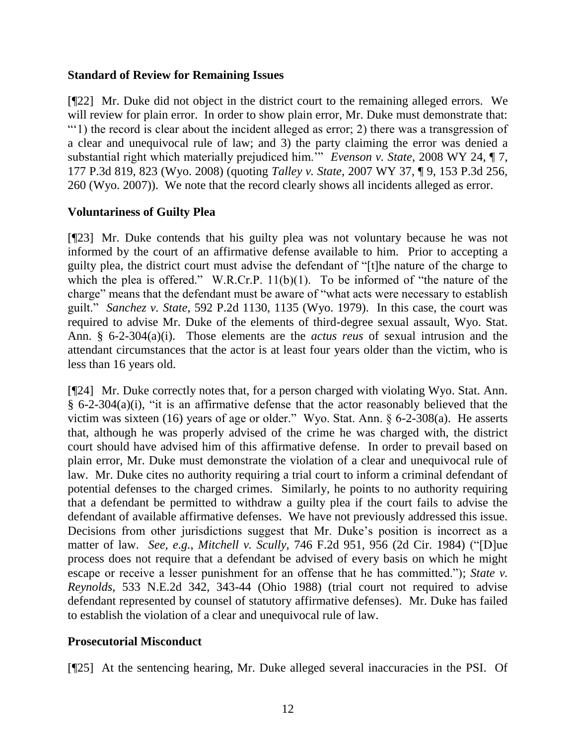#### **Standard of Review for Remaining Issues**

[¶22] Mr. Duke did not object in the district court to the remaining alleged errors. We will review for plain error. In order to show plain error, Mr. Duke must demonstrate that: ""1) the record is clear about the incident alleged as error; 2) there was a transgression of a clear and unequivocal rule of law; and 3) the party claiming the error was denied a substantial right which materially prejudiced him.<sup>55</sup> *Evenson v. State*, 2008 WY 24, ¶ 7, 177 P.3d 819, 823 (Wyo. 2008) (quoting *Talley v. State*, 2007 WY 37, ¶ 9, 153 P.3d 256, 260 (Wyo. 2007)). We note that the record clearly shows all incidents alleged as error.

## **Voluntariness of Guilty Plea**

[¶23] Mr. Duke contends that his guilty plea was not voluntary because he was not informed by the court of an affirmative defense available to him. Prior to accepting a guilty plea, the district court must advise the defendant of "[t]he nature of the charge to which the plea is offered." W.R.Cr.P. 11(b)(1). To be informed of "the nature of the charge" means that the defendant must be aware of "what acts were necessary to establish guilt." *Sanchez v. State*, 592 P.2d 1130, 1135 (Wyo. 1979). In this case, the court was required to advise Mr. Duke of the elements of third-degree sexual assault, Wyo. Stat. Ann. § 6-2-304(a)(i). Those elements are the *actus reus* of sexual intrusion and the attendant circumstances that the actor is at least four years older than the victim, who is less than 16 years old.

[¶24] Mr. Duke correctly notes that, for a person charged with violating Wyo. Stat. Ann. § 6-2-304(a)(i), "it is an affirmative defense that the actor reasonably believed that the victim was sixteen (16) years of age or older." Wyo. Stat. Ann. § 6-2-308(a). He asserts that, although he was properly advised of the crime he was charged with, the district court should have advised him of this affirmative defense. In order to prevail based on plain error, Mr. Duke must demonstrate the violation of a clear and unequivocal rule of law. Mr. Duke cites no authority requiring a trial court to inform a criminal defendant of potential defenses to the charged crimes. Similarly, he points to no authority requiring that a defendant be permitted to withdraw a guilty plea if the court fails to advise the defendant of available affirmative defenses. We have not previously addressed this issue. Decisions from other jurisdictions suggest that Mr. Duke's position is incorrect as a matter of law. *See, e.g.*, *Mitchell v. Scully*, 746 F.2d 951, 956 (2d Cir. 1984) ("[D]ue process does not require that a defendant be advised of every basis on which he might escape or receive a lesser punishment for an offense that he has committed."); *State v. Reynolds*, 533 N.E.2d 342, 343-44 (Ohio 1988) (trial court not required to advise defendant represented by counsel of statutory affirmative defenses). Mr. Duke has failed to establish the violation of a clear and unequivocal rule of law.

## **Prosecutorial Misconduct**

[¶25] At the sentencing hearing, Mr. Duke alleged several inaccuracies in the PSI. Of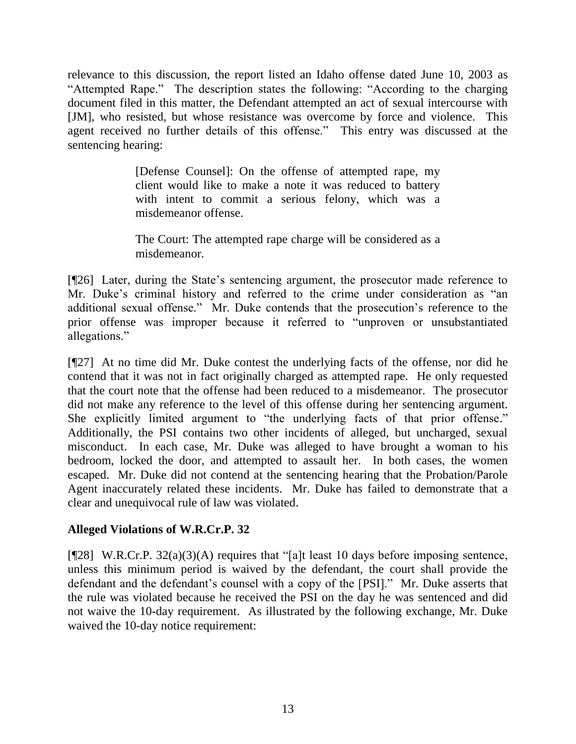relevance to this discussion, the report listed an Idaho offense dated June 10, 2003 as "Attempted Rape." The description states the following: "According to the charging document filed in this matter, the Defendant attempted an act of sexual intercourse with [JM], who resisted, but whose resistance was overcome by force and violence. This agent received no further details of this offense." This entry was discussed at the sentencing hearing:

> [Defense Counsel]: On the offense of attempted rape, my client would like to make a note it was reduced to battery with intent to commit a serious felony, which was a misdemeanor offense.

> The Court: The attempted rape charge will be considered as a misdemeanor.

[¶26] Later, during the State's sentencing argument, the prosecutor made reference to Mr. Duke's criminal history and referred to the crime under consideration as "an additional sexual offense." Mr. Duke contends that the prosecution"s reference to the prior offense was improper because it referred to "unproven or unsubstantiated allegations."

[¶27] At no time did Mr. Duke contest the underlying facts of the offense, nor did he contend that it was not in fact originally charged as attempted rape. He only requested that the court note that the offense had been reduced to a misdemeanor. The prosecutor did not make any reference to the level of this offense during her sentencing argument. She explicitly limited argument to "the underlying facts of that prior offense." Additionally, the PSI contains two other incidents of alleged, but uncharged, sexual misconduct. In each case, Mr. Duke was alleged to have brought a woman to his bedroom, locked the door, and attempted to assault her. In both cases, the women escaped. Mr. Duke did not contend at the sentencing hearing that the Probation/Parole Agent inaccurately related these incidents. Mr. Duke has failed to demonstrate that a clear and unequivocal rule of law was violated.

## **Alleged Violations of W.R.Cr.P. 32**

[¶28] W.R.Cr.P. 32(a)(3)(A) requires that "[a]t least 10 days before imposing sentence, unless this minimum period is waived by the defendant, the court shall provide the defendant and the defendant"s counsel with a copy of the [PSI]." Mr. Duke asserts that the rule was violated because he received the PSI on the day he was sentenced and did not waive the 10-day requirement. As illustrated by the following exchange, Mr. Duke waived the 10-day notice requirement: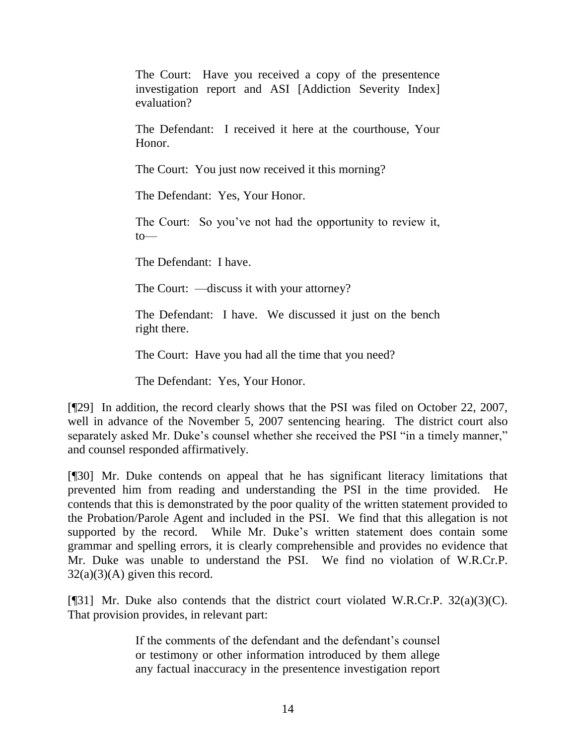The Court: Have you received a copy of the presentence investigation report and ASI [Addiction Severity Index] evaluation?

The Defendant: I received it here at the courthouse, Your Honor.

The Court: You just now received it this morning?

The Defendant: Yes, Your Honor.

The Court: So you've not had the opportunity to review it, to—

The Defendant: I have.

The Court: —discuss it with your attorney?

The Defendant: I have. We discussed it just on the bench right there.

The Court: Have you had all the time that you need?

The Defendant: Yes, Your Honor.

[¶29] In addition, the record clearly shows that the PSI was filed on October 22, 2007, well in advance of the November 5, 2007 sentencing hearing. The district court also separately asked Mr. Duke's counsel whether she received the PSI "in a timely manner," and counsel responded affirmatively.

[¶30] Mr. Duke contends on appeal that he has significant literacy limitations that prevented him from reading and understanding the PSI in the time provided. He contends that this is demonstrated by the poor quality of the written statement provided to the Probation/Parole Agent and included in the PSI. We find that this allegation is not supported by the record. While Mr. Duke's written statement does contain some grammar and spelling errors, it is clearly comprehensible and provides no evidence that Mr. Duke was unable to understand the PSI. We find no violation of W.R.Cr.P.  $32(a)(3)(A)$  given this record.

[¶31] Mr. Duke also contends that the district court violated W.R.Cr.P. 32(a)(3)(C). That provision provides, in relevant part:

> If the comments of the defendant and the defendant"s counsel or testimony or other information introduced by them allege any factual inaccuracy in the presentence investigation report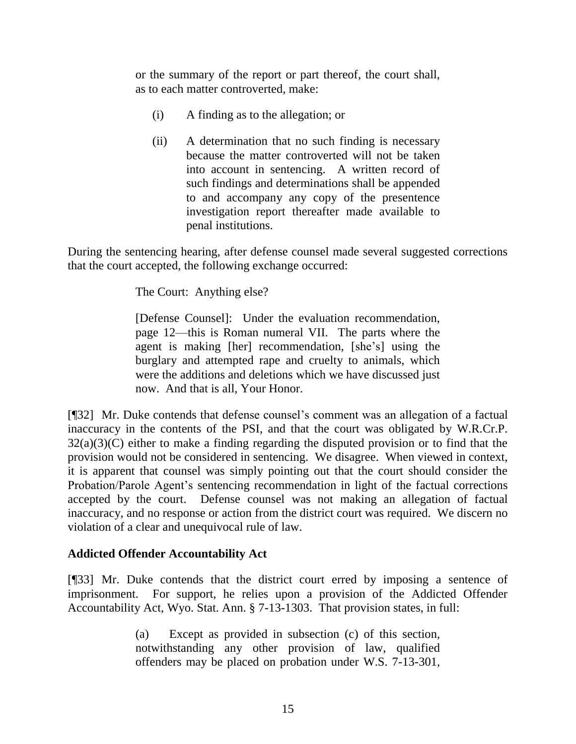or the summary of the report or part thereof, the court shall, as to each matter controverted, make:

- (i) A finding as to the allegation; or
- (ii) A determination that no such finding is necessary because the matter controverted will not be taken into account in sentencing. A written record of such findings and determinations shall be appended to and accompany any copy of the presentence investigation report thereafter made available to penal institutions.

During the sentencing hearing, after defense counsel made several suggested corrections that the court accepted, the following exchange occurred:

The Court: Anything else?

[Defense Counsel]: Under the evaluation recommendation, page 12—this is Roman numeral VII. The parts where the agent is making [her] recommendation, [she"s] using the burglary and attempted rape and cruelty to animals, which were the additions and deletions which we have discussed just now. And that is all, Your Honor.

[¶32] Mr. Duke contends that defense counsel's comment was an allegation of a factual inaccuracy in the contents of the PSI, and that the court was obligated by W.R.Cr.P. 32(a)(3)(C) either to make a finding regarding the disputed provision or to find that the provision would not be considered in sentencing. We disagree. When viewed in context, it is apparent that counsel was simply pointing out that the court should consider the Probation/Parole Agent"s sentencing recommendation in light of the factual corrections accepted by the court. Defense counsel was not making an allegation of factual inaccuracy, and no response or action from the district court was required. We discern no violation of a clear and unequivocal rule of law.

# **Addicted Offender Accountability Act**

[¶33] Mr. Duke contends that the district court erred by imposing a sentence of imprisonment. For support, he relies upon a provision of the Addicted Offender Accountability Act, Wyo. Stat. Ann. § 7-13-1303. That provision states, in full:

> (a) Except as provided in subsection (c) of this section, notwithstanding any other provision of law, qualified offenders may be placed on probation under W.S. 7-13-301,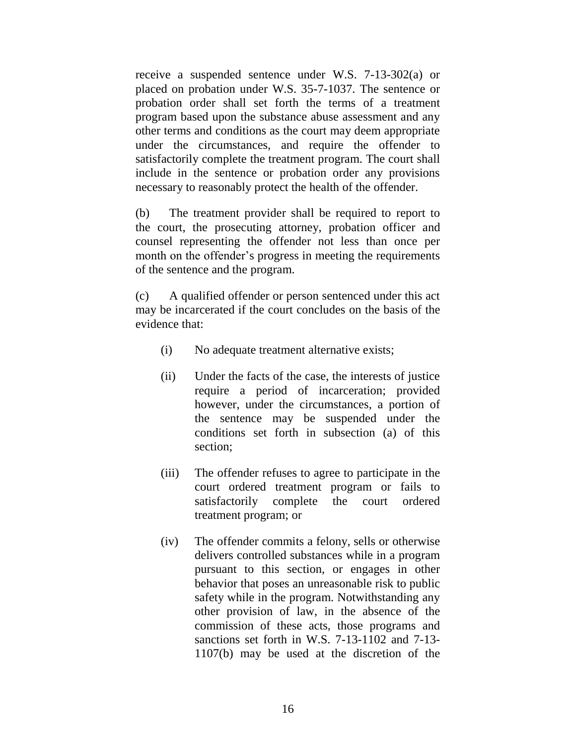receive a suspended sentence under W.S. 7-13-302(a) or placed on probation under W.S. 35-7-1037. The sentence or probation order shall set forth the terms of a treatment program based upon the substance abuse assessment and any other terms and conditions as the court may deem appropriate under the circumstances, and require the offender to satisfactorily complete the treatment program. The court shall include in the sentence or probation order any provisions necessary to reasonably protect the health of the offender.

(b) The treatment provider shall be required to report to the court, the prosecuting attorney, probation officer and counsel representing the offender not less than once per month on the offender's progress in meeting the requirements of the sentence and the program.

(c) A qualified offender or person sentenced under this act may be incarcerated if the court concludes on the basis of the evidence that:

- (i) No adequate treatment alternative exists;
- (ii) Under the facts of the case, the interests of justice require a period of incarceration; provided however, under the circumstances, a portion of the sentence may be suspended under the conditions set forth in subsection (a) of this section;
- (iii) The offender refuses to agree to participate in the court ordered treatment program or fails to satisfactorily complete the court ordered treatment program; or
- (iv) The offender commits a felony, sells or otherwise delivers controlled substances while in a program pursuant to this section, or engages in other behavior that poses an unreasonable risk to public safety while in the program. Notwithstanding any other provision of law, in the absence of the commission of these acts, those programs and sanctions set forth in W.S. 7-13-1102 and 7-13- 1107(b) may be used at the discretion of the